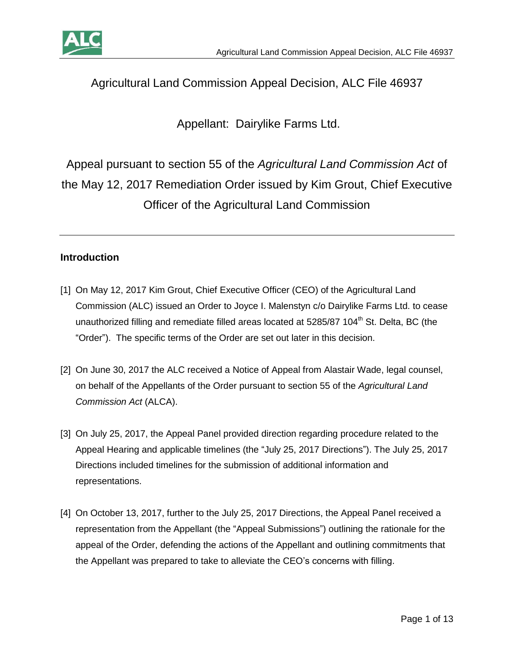



# Agricultural Land Commission Appeal Decision, ALC File 46937

Appellant: Dairylike Farms Ltd.

Appeal pursuant to section 55 of the *Agricultural Land Commission Act* of the May 12, 2017 Remediation Order issued by Kim Grout, Chief Executive Officer of the Agricultural Land Commission

### **Introduction**

- [1] On May 12, 2017 Kim Grout, Chief Executive Officer (CEO) of the Agricultural Land Commission (ALC) issued an Order to Joyce I. Malenstyn c/o Dairylike Farms Ltd. to cease unauthorized filling and remediate filled areas located at  $5285/87$  104<sup>th</sup> St. Delta, BC (the "Order"). The specific terms of the Order are set out later in this decision.
- [2] On June 30, 2017 the ALC received a Notice of Appeal from Alastair Wade, legal counsel, on behalf of the Appellants of the Order pursuant to section 55 of the *Agricultural Land Commission Act* (ALCA).
- [3] On July 25, 2017, the Appeal Panel provided direction regarding procedure related to the Appeal Hearing and applicable timelines (the "July 25, 2017 Directions"). The July 25, 2017 Directions included timelines for the submission of additional information and representations.
- [4] On October 13, 2017, further to the July 25, 2017 Directions, the Appeal Panel received a representation from the Appellant (the "Appeal Submissions") outlining the rationale for the appeal of the Order, defending the actions of the Appellant and outlining commitments that the Appellant was prepared to take to alleviate the CEO's concerns with filling.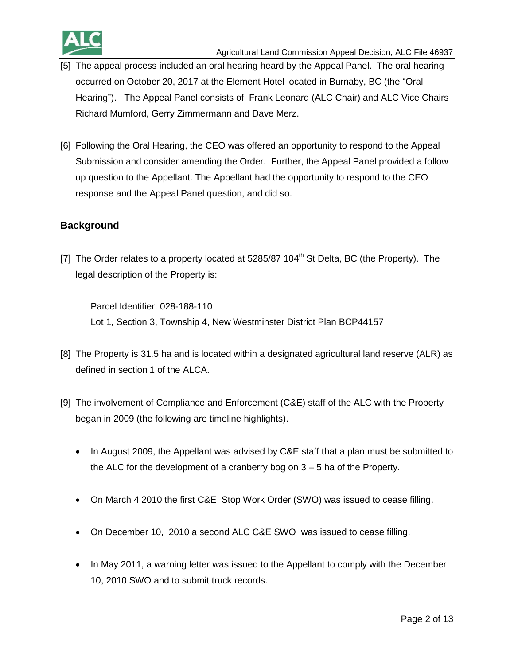

- [5] The appeal process included an oral hearing heard by the Appeal Panel. The oral hearing occurred on October 20, 2017 at the Element Hotel located in Burnaby, BC (the "Oral Hearing"). The Appeal Panel consists of Frank Leonard (ALC Chair) and ALC Vice Chairs Richard Mumford, Gerry Zimmermann and Dave Merz.
- [6] Following the Oral Hearing, the CEO was offered an opportunity to respond to the Appeal Submission and consider amending the Order. Further, the Appeal Panel provided a follow up question to the Appellant. The Appellant had the opportunity to respond to the CEO response and the Appeal Panel question, and did so.

### **Background**

[7] The Order relates to a property located at  $5285/87$  104<sup>th</sup> St Delta, BC (the Property). The legal description of the Property is:

Parcel Identifier: 028-188-110 Lot 1, Section 3, Township 4, New Westminster District Plan BCP44157

- [8] The Property is 31.5 ha and is located within a designated agricultural land reserve (ALR) as defined in section 1 of the ALCA.
- [9] The involvement of Compliance and Enforcement (C&E) staff of the ALC with the Property began in 2009 (the following are timeline highlights).
	- In August 2009, the Appellant was advised by C&E staff that a plan must be submitted to the ALC for the development of a cranberry bog on 3 – 5 ha of the Property.
	- On March 4 2010 the first C&E Stop Work Order (SWO) was issued to cease filling.
	- On December 10, 2010 a second ALC C&E SWO was issued to cease filling.
	- In May 2011, a warning letter was issued to the Appellant to comply with the December 10, 2010 SWO and to submit truck records.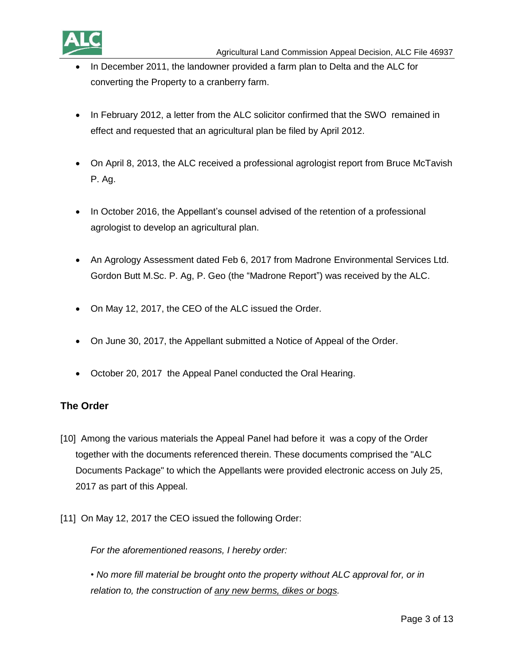

- In December 2011, the landowner provided a farm plan to Delta and the ALC for converting the Property to a cranberry farm.
- In February 2012, a letter from the ALC solicitor confirmed that the SWO remained in effect and requested that an agricultural plan be filed by April 2012.
- On April 8, 2013, the ALC received a professional agrologist report from Bruce McTavish P. Ag.
- In October 2016, the Appellant's counsel advised of the retention of a professional agrologist to develop an agricultural plan.
- An Agrology Assessment dated Feb 6, 2017 from Madrone Environmental Services Ltd. Gordon Butt M.Sc. P. Ag, P. Geo (the "Madrone Report") was received by the ALC.
- On May 12, 2017, the CEO of the ALC issued the Order.
- On June 30, 2017, the Appellant submitted a Notice of Appeal of the Order.
- October 20, 2017 the Appeal Panel conducted the Oral Hearing.

#### **The Order**

- [10] Among the various materials the Appeal Panel had before it was a copy of the Order together with the documents referenced therein. These documents comprised the "ALC Documents Package" to which the Appellants were provided electronic access on July 25, 2017 as part of this Appeal.
- [11] On May 12, 2017 the CEO issued the following Order:

*For the aforementioned reasons, I hereby order:*

*• No more fill material be brought onto the property without ALC approval for, or in relation to, the construction of any new berms, dikes or bogs.*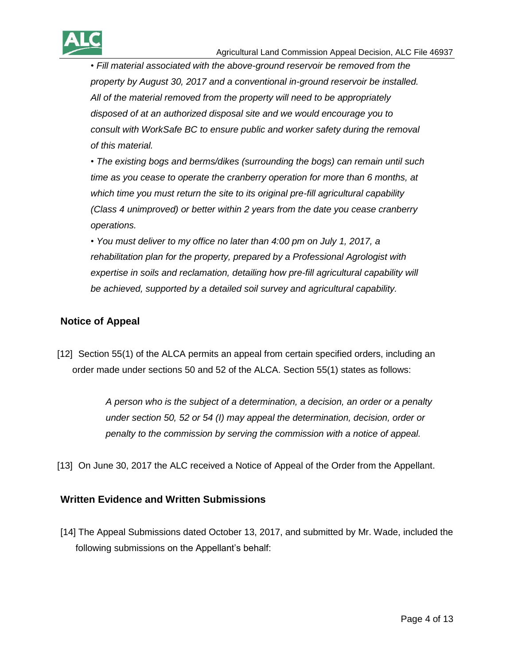

*• Fill material associated with the above-ground reservoir be removed from the property by August 30, 2017 and a conventional in-ground reservoir be installed. All of the material removed from the property will need to be appropriately disposed of at an authorized disposal site and we would encourage you to consult with WorkSafe BC to ensure public and worker safety during the removal of this material.*

*• The existing bogs and berms/dikes (surrounding the bogs) can remain until such time as you cease to operate the cranberry operation for more than 6 months, at which time you must return the site to its original pre-fill agricultural capability (Class 4 unimproved) or better within 2 years from the date you cease cranberry operations.*

*• You must deliver to my office no later than 4:00 pm on July 1, 2017, a rehabilitation plan for the property, prepared by a Professional Agrologist with expertise in soils and reclamation, detailing how pre-fill agricultural capability will be achieved, supported by a detailed soil survey and agricultural capability.*

### **Notice of Appeal**

[12] Section 55(1) of the ALCA permits an appeal from certain specified orders, including an order made under sections 50 and 52 of the ALCA. Section 55(1) states as follows:

> *A person who is the subject of a determination, a decision, an order or a penalty under section 50, 52 or 54 (I) may appeal the determination, decision, order or penalty to the commission by serving the commission with a notice of appeal.*

[13] On June 30, 2017 the ALC received a Notice of Appeal of the Order from the Appellant.

#### **Written Evidence and Written Submissions**

[14] The Appeal Submissions dated October 13, 2017, and submitted by Mr. Wade, included the following submissions on the Appellant's behalf: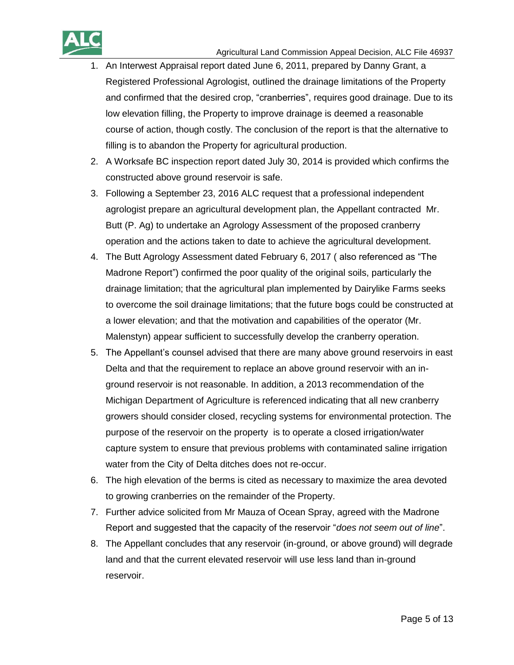

- 1. An Interwest Appraisal report dated June 6, 2011, prepared by Danny Grant, a Registered Professional Agrologist, outlined the drainage limitations of the Property and confirmed that the desired crop, "cranberries", requires good drainage. Due to its low elevation filling, the Property to improve drainage is deemed a reasonable course of action, though costly. The conclusion of the report is that the alternative to filling is to abandon the Property for agricultural production.
- 2. A Worksafe BC inspection report dated July 30, 2014 is provided which confirms the constructed above ground reservoir is safe.
- 3. Following a September 23, 2016 ALC request that a professional independent agrologist prepare an agricultural development plan, the Appellant contracted Mr. Butt (P. Ag) to undertake an Agrology Assessment of the proposed cranberry operation and the actions taken to date to achieve the agricultural development.
- 4. The Butt Agrology Assessment dated February 6, 2017 ( also referenced as "The Madrone Report") confirmed the poor quality of the original soils, particularly the drainage limitation; that the agricultural plan implemented by Dairylike Farms seeks to overcome the soil drainage limitations; that the future bogs could be constructed at a lower elevation; and that the motivation and capabilities of the operator (Mr. Malenstyn) appear sufficient to successfully develop the cranberry operation.
- 5. The Appellant's counsel advised that there are many above ground reservoirs in east Delta and that the requirement to replace an above ground reservoir with an inground reservoir is not reasonable. In addition, a 2013 recommendation of the Michigan Department of Agriculture is referenced indicating that all new cranberry growers should consider closed, recycling systems for environmental protection. The purpose of the reservoir on the property is to operate a closed irrigation/water capture system to ensure that previous problems with contaminated saline irrigation water from the City of Delta ditches does not re-occur.
- 6. The high elevation of the berms is cited as necessary to maximize the area devoted to growing cranberries on the remainder of the Property.
- 7. Further advice solicited from Mr Mauza of Ocean Spray, agreed with the Madrone Report and suggested that the capacity of the reservoir "*does not seem out of line*".
- 8. The Appellant concludes that any reservoir (in-ground, or above ground) will degrade land and that the current elevated reservoir will use less land than in-ground reservoir.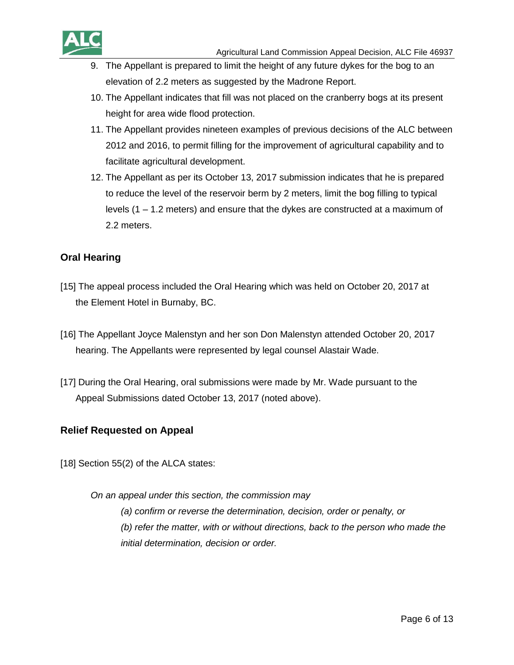

- 9. The Appellant is prepared to limit the height of any future dykes for the bog to an elevation of 2.2 meters as suggested by the Madrone Report.
- 10. The Appellant indicates that fill was not placed on the cranberry bogs at its present height for area wide flood protection.
- 11. The Appellant provides nineteen examples of previous decisions of the ALC between 2012 and 2016, to permit filling for the improvement of agricultural capability and to facilitate agricultural development.
- 12. The Appellant as per its October 13, 2017 submission indicates that he is prepared to reduce the level of the reservoir berm by 2 meters, limit the bog filling to typical levels (1 – 1.2 meters) and ensure that the dykes are constructed at a maximum of 2.2 meters.

### **Oral Hearing**

- [15] The appeal process included the Oral Hearing which was held on October 20, 2017 at the Element Hotel in Burnaby, BC.
- [16] The Appellant Joyce Malenstyn and her son Don Malenstyn attended October 20, 2017 hearing. The Appellants were represented by legal counsel Alastair Wade.
- [17] During the Oral Hearing, oral submissions were made by Mr. Wade pursuant to the Appeal Submissions dated October 13, 2017 (noted above).

#### **Relief Requested on Appeal**

[18] Section 55(2) of the ALCA states:

*On an appeal under this section, the commission may*

*(a) confirm or reverse the determination, decision, order or penalty, or (b) refer the matter, with or without directions, back to the person who made the initial determination, decision or order.*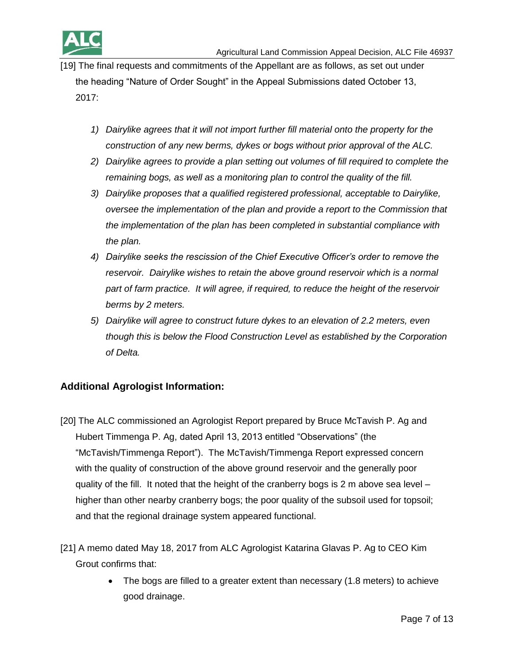

[19] The final requests and commitments of the Appellant are as follows, as set out under the heading "Nature of Order Sought" in the Appeal Submissions dated October 13, 2017:

- *1) Dairylike agrees that it will not import further fill material onto the property for the construction of any new berms, dykes or bogs without prior approval of the ALC.*
- *2) Dairylike agrees to provide a plan setting out volumes of fill required to complete the remaining bogs, as well as a monitoring plan to control the quality of the fill.*
- *3) Dairylike proposes that a qualified registered professional, acceptable to Dairylike, oversee the implementation of the plan and provide a report to the Commission that the implementation of the plan has been completed in substantial compliance with the plan.*
- *4) Dairylike seeks the rescission of the Chief Executive Officer's order to remove the reservoir. Dairylike wishes to retain the above ground reservoir which is a normal part of farm practice. It will agree, if required, to reduce the height of the reservoir berms by 2 meters.*
- *5) Dairylike will agree to construct future dykes to an elevation of 2.2 meters, even though this is below the Flood Construction Level as established by the Corporation of Delta.*

### **Additional Agrologist Information:**

- [20] The ALC commissioned an Agrologist Report prepared by Bruce McTavish P. Ag and Hubert Timmenga P. Ag, dated April 13, 2013 entitled "Observations" (the "McTavish/Timmenga Report"). The McTavish/Timmenga Report expressed concern with the quality of construction of the above ground reservoir and the generally poor quality of the fill. It noted that the height of the cranberry bogs is 2 m above sea level – higher than other nearby cranberry bogs; the poor quality of the subsoil used for topsoil; and that the regional drainage system appeared functional.
- [21] A memo dated May 18, 2017 from ALC Agrologist Katarina Glavas P. Ag to CEO Kim Grout confirms that:
	- The bogs are filled to a greater extent than necessary (1.8 meters) to achieve good drainage.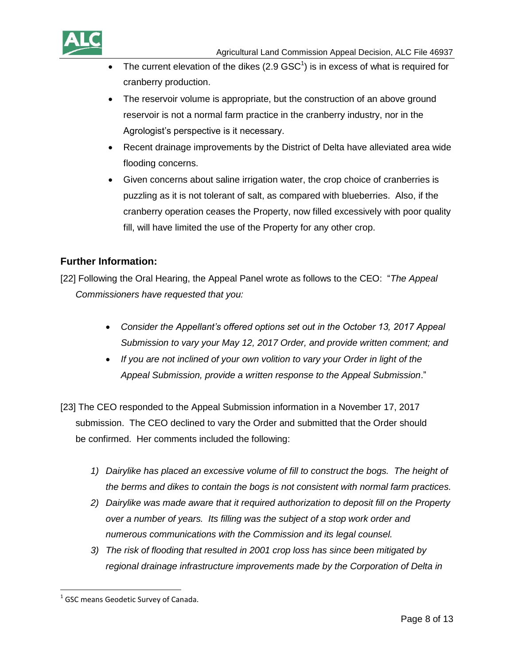

- The current elevation of the dikes  $(2.9 \text{ GSC}^1)$  is in excess of what is required for cranberry production.
- The reservoir volume is appropriate, but the construction of an above ground reservoir is not a normal farm practice in the cranberry industry, nor in the Agrologist's perspective is it necessary.
- Recent drainage improvements by the District of Delta have alleviated area wide flooding concerns.
- Given concerns about saline irrigation water, the crop choice of cranberries is puzzling as it is not tolerant of salt, as compared with blueberries. Also, if the cranberry operation ceases the Property, now filled excessively with poor quality fill, will have limited the use of the Property for any other crop.

### **Further Information:**

[22] Following the Oral Hearing, the Appeal Panel wrote as follows to the CEO: "*The Appeal Commissioners have requested that you:*

- *Consider the Appellant's offered options set out in the October 13, 2017 Appeal Submission to vary your May 12, 2017 Order, and provide written comment; and*
- *If you are not inclined of your own volition to vary your Order in light of the Appeal Submission, provide a written response to the Appeal Submission*."
- [23] The CEO responded to the Appeal Submission information in a November 17, 2017 submission. The CEO declined to vary the Order and submitted that the Order should be confirmed. Her comments included the following:
	- *1) Dairylike has placed an excessive volume of fill to construct the bogs. The height of the berms and dikes to contain the bogs is not consistent with normal farm practices.*
	- *2) Dairylike was made aware that it required authorization to deposit fill on the Property over a number of years. Its filling was the subject of a stop work order and numerous communications with the Commission and its legal counsel.*
	- *3) The risk of flooding that resulted in 2001 crop loss has since been mitigated by regional drainage infrastructure improvements made by the Corporation of Delta in*

 $\overline{\phantom{a}}$ 

 $<sup>1</sup>$  GSC means Geodetic Survey of Canada.</sup>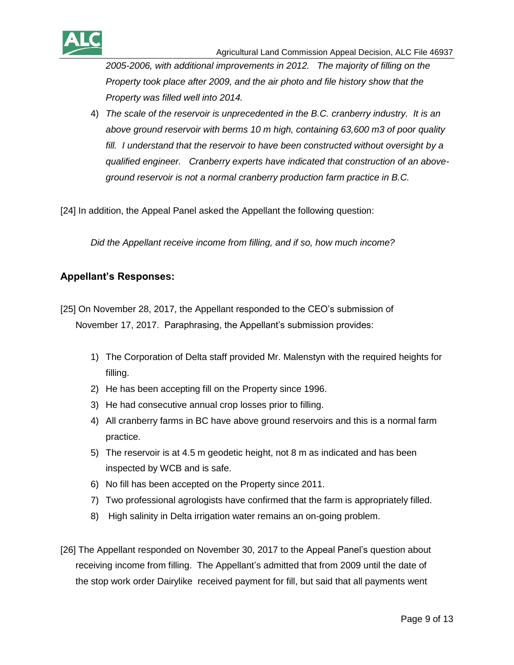

*2005-2006, with additional improvements in 2012. The majority of filling on the Property took place after 2009, and the air photo and file history show that the Property was filled well into 2014.*

4) *The scale of the reservoir is unprecedented in the B.C. cranberry industry. It is an above ground reservoir with berms 10 m high, containing 63,600 m3 of poor quality fill. I understand that the reservoir to have been constructed without oversight by a qualified engineer. Cranberry experts have indicated that construction of an aboveground reservoir is not a normal cranberry production farm practice in B.C.*

[24] In addition, the Appeal Panel asked the Appellant the following question:

*Did the Appellant receive income from filling, and if so, how much income?*

#### **Appellant's Responses:**

[25] On November 28, 2017, the Appellant responded to the CEO's submission of November 17, 2017. Paraphrasing, the Appellant's submission provides:

- 1) The Corporation of Delta staff provided Mr. Malenstyn with the required heights for filling.
- 2) He has been accepting fill on the Property since 1996.
- 3) He had consecutive annual crop losses prior to filling.
- 4) All cranberry farms in BC have above ground reservoirs and this is a normal farm practice.
- 5) The reservoir is at 4.5 m geodetic height, not 8 m as indicated and has been inspected by WCB and is safe.
- 6) No fill has been accepted on the Property since 2011.
- 7) Two professional agrologists have confirmed that the farm is appropriately filled.
- 8) High salinity in Delta irrigation water remains an on-going problem.
- [26] The Appellant responded on November 30, 2017 to the Appeal Panel's question about receiving income from filling. The Appellant's admitted that from 2009 until the date of the stop work order Dairylike received payment for fill, but said that all payments went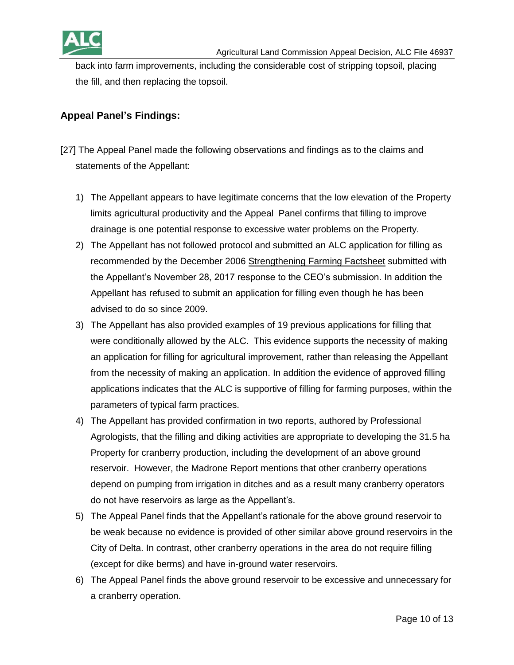

back into farm improvements, including the considerable cost of stripping topsoil, placing the fill, and then replacing the topsoil.

### **Appeal Panel's Findings:**

- [27] The Appeal Panel made the following observations and findings as to the claims and statements of the Appellant:
	- 1) The Appellant appears to have legitimate concerns that the low elevation of the Property limits agricultural productivity and the Appeal Panel confirms that filling to improve drainage is one potential response to excessive water problems on the Property.
	- 2) The Appellant has not followed protocol and submitted an ALC application for filling as recommended by the December 2006 Strengthening Farming Factsheet submitted with the Appellant's November 28, 2017 response to the CEO's submission. In addition the Appellant has refused to submit an application for filling even though he has been advised to do so since 2009.
	- 3) The Appellant has also provided examples of 19 previous applications for filling that were conditionally allowed by the ALC. This evidence supports the necessity of making an application for filling for agricultural improvement, rather than releasing the Appellant from the necessity of making an application. In addition the evidence of approved filling applications indicates that the ALC is supportive of filling for farming purposes, within the parameters of typical farm practices.
	- 4) The Appellant has provided confirmation in two reports, authored by Professional Agrologists, that the filling and diking activities are appropriate to developing the 31.5 ha Property for cranberry production, including the development of an above ground reservoir. However, the Madrone Report mentions that other cranberry operations depend on pumping from irrigation in ditches and as a result many cranberry operators do not have reservoirs as large as the Appellant's.
	- 5) The Appeal Panel finds that the Appellant's rationale for the above ground reservoir to be weak because no evidence is provided of other similar above ground reservoirs in the City of Delta. In contrast, other cranberry operations in the area do not require filling (except for dike berms) and have in-ground water reservoirs.
	- 6) The Appeal Panel finds the above ground reservoir to be excessive and unnecessary for a cranberry operation.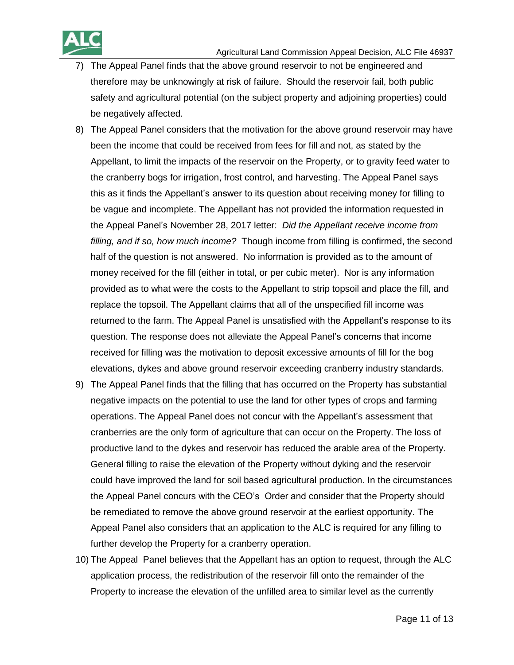

- 7) The Appeal Panel finds that the above ground reservoir to not be engineered and therefore may be unknowingly at risk of failure. Should the reservoir fail, both public safety and agricultural potential (on the subject property and adjoining properties) could be negatively affected.
- 8) The Appeal Panel considers that the motivation for the above ground reservoir may have been the income that could be received from fees for fill and not, as stated by the Appellant, to limit the impacts of the reservoir on the Property, or to gravity feed water to the cranberry bogs for irrigation, frost control, and harvesting. The Appeal Panel says this as it finds the Appellant's answer to its question about receiving money for filling to be vague and incomplete. The Appellant has not provided the information requested in the Appeal Panel's November 28, 2017 letter: *Did the Appellant receive income from filling, and if so, how much income?* Though income from filling is confirmed, the second half of the question is not answered. No information is provided as to the amount of money received for the fill (either in total, or per cubic meter). Nor is any information provided as to what were the costs to the Appellant to strip topsoil and place the fill, and replace the topsoil. The Appellant claims that all of the unspecified fill income was returned to the farm. The Appeal Panel is unsatisfied with the Appellant's response to its question. The response does not alleviate the Appeal Panel's concerns that income received for filling was the motivation to deposit excessive amounts of fill for the bog elevations, dykes and above ground reservoir exceeding cranberry industry standards.
- 9) The Appeal Panel finds that the filling that has occurred on the Property has substantial negative impacts on the potential to use the land for other types of crops and farming operations. The Appeal Panel does not concur with the Appellant's assessment that cranberries are the only form of agriculture that can occur on the Property. The loss of productive land to the dykes and reservoir has reduced the arable area of the Property. General filling to raise the elevation of the Property without dyking and the reservoir could have improved the land for soil based agricultural production. In the circumstances the Appeal Panel concurs with the CEO's Order and consider that the Property should be remediated to remove the above ground reservoir at the earliest opportunity. The Appeal Panel also considers that an application to the ALC is required for any filling to further develop the Property for a cranberry operation.
- 10) The Appeal Panel believes that the Appellant has an option to request, through the ALC application process, the redistribution of the reservoir fill onto the remainder of the Property to increase the elevation of the unfilled area to similar level as the currently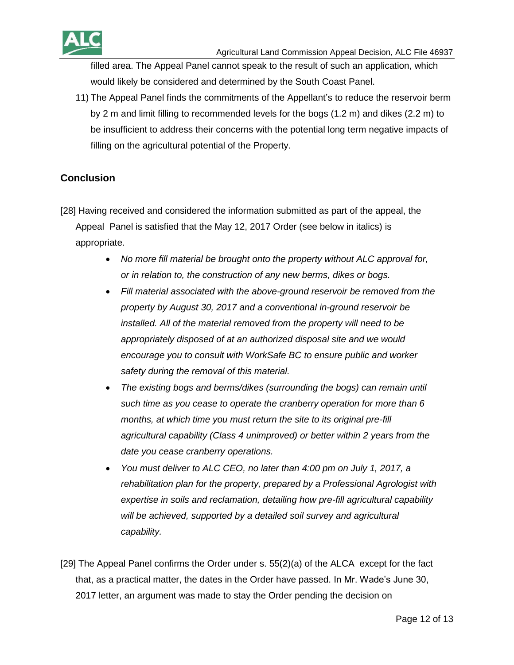

filled area. The Appeal Panel cannot speak to the result of such an application, which would likely be considered and determined by the South Coast Panel.

11) The Appeal Panel finds the commitments of the Appellant's to reduce the reservoir berm by 2 m and limit filling to recommended levels for the bogs (1.2 m) and dikes (2.2 m) to be insufficient to address their concerns with the potential long term negative impacts of filling on the agricultural potential of the Property.

## **Conclusion**

[28] Having received and considered the information submitted as part of the appeal, the Appeal Panel is satisfied that the May 12, 2017 Order (see below in italics) is appropriate.

- *No more fill material be brought onto the property without ALC approval for, or in relation to, the construction of any new berms, dikes or bogs.*
- *Fill material associated with the above-ground reservoir be removed from the property by August 30, 2017 and a conventional in-ground reservoir be installed. All of the material removed from the property will need to be appropriately disposed of at an authorized disposal site and we would encourage you to consult with WorkSafe BC to ensure public and worker safety during the removal of this material.*
- *The existing bogs and berms/dikes (surrounding the bogs) can remain until such time as you cease to operate the cranberry operation for more than 6 months, at which time you must return the site to its original pre-fill agricultural capability (Class 4 unimproved) or better within 2 years from the date you cease cranberry operations.*
- *You must deliver to ALC CEO, no later than 4:00 pm on July 1, 2017, a rehabilitation plan for the property, prepared by a Professional Agrologist with expertise in soils and reclamation, detailing how pre-fill agricultural capability*  will be achieved, supported by a detailed soil survey and agricultural *capability.*

[29] The Appeal Panel confirms the Order under s. 55(2)(a) of the ALCA except for the fact that, as a practical matter, the dates in the Order have passed. In Mr. Wade's June 30, 2017 letter, an argument was made to stay the Order pending the decision on